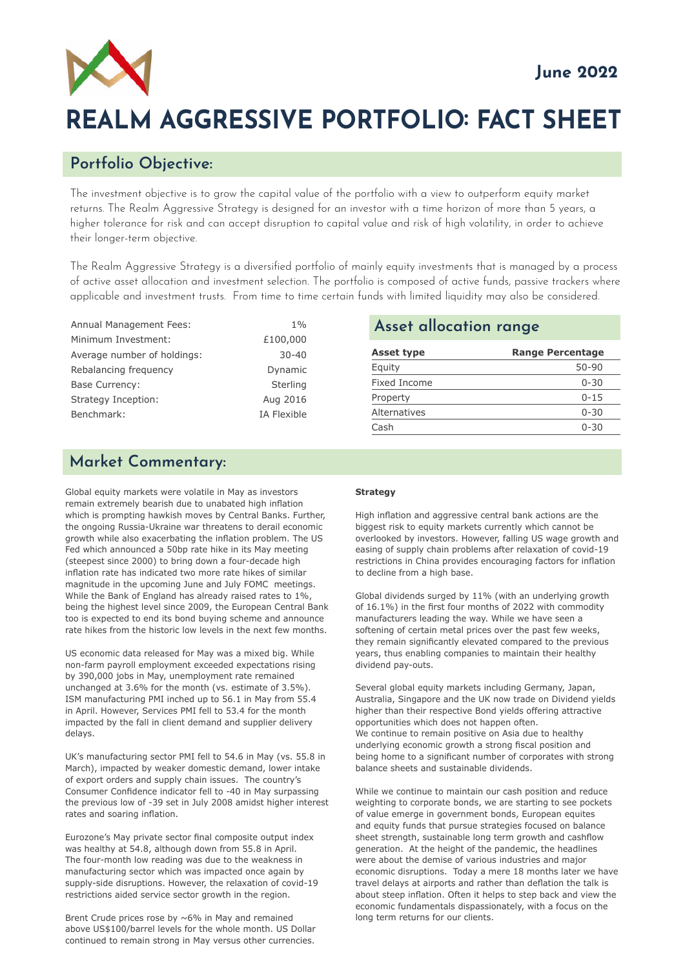

# **REALM AGGRESSIVE PORTFOLIO: FACT SHEET**

# **Portfolio Objective:**

The investment objective is to grow the capital value of the portfolio with a view to outperform equity market returns. The Realm Aggressive Strategy is designed for an investor with a time horizon of more than 5 years, a higher tolerance for risk and can accept disruption to capital value and risk of high volatility, in order to achieve their longer-term objective.

The Realm Aggressive Strategy is a diversified portfolio of mainly equity investments that is managed by a process of active asset allocation and investment selection. The portfolio is composed of active funds, passive trackers where applicable and investment trusts. From time to time certain funds with limited liquidity may also be considered.

| Annual Management Fees:     | $1\%$              |
|-----------------------------|--------------------|
| Minimum Investment:         | £100,000           |
| Average number of holdings: | $30 - 40$          |
| Rebalancing frequency       | Dynamic            |
| <b>Base Currency:</b>       | Sterling           |
| Strategy Inception:         | Aug 2016           |
| Benchmark:                  | <b>IA Flexible</b> |
|                             |                    |

#### **Asset allocation range**

| <b>Range Percentage</b> |
|-------------------------|
| $50 - 90$               |
| $0 - 30$                |
| $0 - 15$                |
| $0 - 30$                |
| $0 - 30$                |
|                         |

# **Market Commentary:**

Global equity markets were volatile in May as investors remain extremely bearish due to unabated high inflation which is prompting hawkish moves by Central Banks. Further, the ongoing Russia-Ukraine war threatens to derail economic growth while also exacerbating the inflation problem. The US Fed which announced a 50bp rate hike in its May meeting (steepest since 2000) to bring down a four-decade high inflation rate has indicated two more rate hikes of similar magnitude in the upcoming June and July FOMC meetings. While the Bank of England has already raised rates to 1%, being the highest level since 2009, the European Central Bank too is expected to end its bond buying scheme and announce rate hikes from the historic low levels in the next few months.

US economic data released for May was a mixed big. While non-farm payroll employment exceeded expectations rising by 390,000 jobs in May, unemployment rate remained unchanged at 3.6% for the month (vs. estimate of 3.5%). ISM manufacturing PMI inched up to 56.1 in May from 55.4 in April. However, Services PMI fell to 53.4 for the month impacted by the fall in client demand and supplier delivery delays.

UK's manufacturing sector PMI fell to 54.6 in May (vs. 55.8 in March), impacted by weaker domestic demand, lower intake of export orders and supply chain issues. The country's Consumer Confidence indicator fell to -40 in May surpassing the previous low of -39 set in July 2008 amidst higher interest rates and soaring inflation.

Eurozone's May private sector final composite output index was healthy at 54.8, although down from 55.8 in April. The four-month low reading was due to the weakness in manufacturing sector which was impacted once again by supply-side disruptions. However, the relaxation of covid-19 restrictions aided service sector growth in the region.

Brent Crude prices rose by ~6% in May and remained above US\$100/barrel levels for the whole month. US Dollar continued to remain strong in May versus other currencies.

#### **Strategy**

High inflation and aggressive central bank actions are the biggest risk to equity markets currently which cannot be overlooked by investors. However, falling US wage growth and easing of supply chain problems after relaxation of covid-19 restrictions in China provides encouraging factors for inflation to decline from a high base.

Global dividends surged by 11% (with an underlying growth of 16.1%) in the first four months of 2022 with commodity manufacturers leading the way. While we have seen a softening of certain metal prices over the past few weeks, they remain significantly elevated compared to the previous years, thus enabling companies to maintain their healthy dividend pay-outs.

Several global equity markets including Germany, Japan, Australia, Singapore and the UK now trade on Dividend yields higher than their respective Bond yields offering attractive opportunities which does not happen often. We continue to remain positive on Asia due to healthy underlying economic growth a strong fiscal position and being home to a significant number of corporates with strong balance sheets and sustainable dividends.

While we continue to maintain our cash position and reduce weighting to corporate bonds, we are starting to see pockets of value emerge in government bonds, European equites and equity funds that pursue strategies focused on balance sheet strength, sustainable long term growth and cashflow generation. At the height of the pandemic, the headlines were about the demise of various industries and major economic disruptions. Today a mere 18 months later we have travel delays at airports and rather than deflation the talk is about steep inflation. Often it helps to step back and view the economic fundamentals dispassionately, with a focus on the long term returns for our clients.